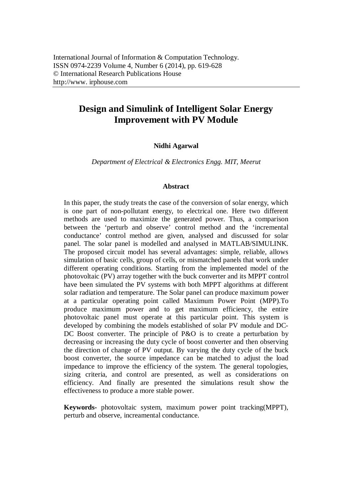# **Design and Simulink of Intelligent Solar Energy Improvement with PV Module**

### **Nidhi Agarwal**

*Department of Electrical & Electronics Engg. MIT, Meerut*

#### **Abstract**

In this paper, the study treats the case of the conversion of solar energy, which is one part of non-pollutant energy, to electrical one. Here two different methods are used to maximize the generated power. Thus, a comparison between the 'perturb and observe' control method and the 'incremental conductance' control method are given, analysed and discussed for solar panel. The solar panel is modelled and analysed in MATLAB/SIMULINK. The proposed circuit model has several advantages: simple, reliable, allows simulation of basic cells, group of cells, or mismatched panels that work under different operating conditions. Starting from the implemented model of the photovoltaic (PV) array together with the buck converter and its MPPT control have been simulated the PV systems with both MPPT algorithms at different solar radiation and temperature. The Solar panel can produce maximum power at a particular operating point called Maximum Power Point (MPP).To produce maximum power and to get maximum efficiency, the entire photovoltaic panel must operate at this particular point. This system is developed by combining the models established of solar PV module and DC-DC Boost converter. The principle of P&O is to create a perturbation by decreasing or increasing the duty cycle of boost converter and then observing the direction of change of PV output. By varying the duty cycle of the buck boost converter, the source impedance can be matched to adjust the load impedance to improve the efficiency of the system. The general topologies, sizing criteria, and control are presented, as well as considerations on efficiency. And finally are presented the simulations result show the effectiveness to produce a more stable power.

**Keywords-** photovoltaic system, maximum power point tracking(MPPT), perturb and observe, increamental conductance.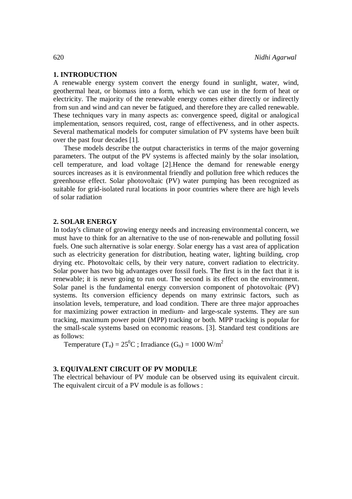### **1. INTRODUCTION**

A renewable energy system convert the energy found in sunlight, water, wind, geothermal heat, or biomass into a form, which we can use in the form of heat or electricity. The majority of the renewable energy comes either directly or indirectly from sun and wind and can never be fatigued, and therefore they are called renewable. These techniques vary in many aspects as: convergence speed, digital or analogical implementation, sensors required, cost, range of effectiveness, and in other aspects. Several mathematical models for computer simulation of PV systems have been built over the past four decades [1].

These models describe the output characteristics in terms of the major governing parameters. The output of the PV systems is affected mainly by the solar insolation, cell temperature, and load voltage [2].Hence the demand for renewable energy sources increases as it is environmental friendly and pollution free which reduces the greenhouse effect. Solar photovoltaic (PV) water pumping has been recognized as suitable for grid-isolated rural locations in poor countries where there are high levels of solar radiation

#### **2. SOLAR ENERGY**

In today's climate of growing energy needs and increasing environmental concern, we must have to think for an alternative to the use of non-renewable and polluting fossil fuels. One such alternative is solar energy. Solar energy has a vast area of application such as electricity generation for distribution, heating water, lighting building, crop drying etc. Photovoltaic cells, by their very nature, convert radiation to electricity. Solar power has two big advantages over fossil fuels. The first is in the fact that it is renewable; it is never going to run out. The second is its effect on the environment. Solar panel is the fundamental energy conversion component of photovoltaic (PV) systems. Its conversion efficiency depends on many extrinsic factors, such as insolation levels, temperature, and load condition. There are three major approaches for maximizing power extraction in medium- and large-scale systems. They are sun tracking, maximum power point (MPP) tracking or both. MPP tracking is popular for the small-scale systems based on economic reasons. [3]. Standard test conditions are as follows:

Temperature  $(T_n) = 25^0C$ ; Irradiance  $(G_n) = 1000$  W/m<sup>2</sup>

# **3. EQUIVALENT CIRCUIT OF PV MODULE**

The electrical behaviour of PV module can be observed using its equivalent circuit. The equivalent circuit of a PV module is as follows :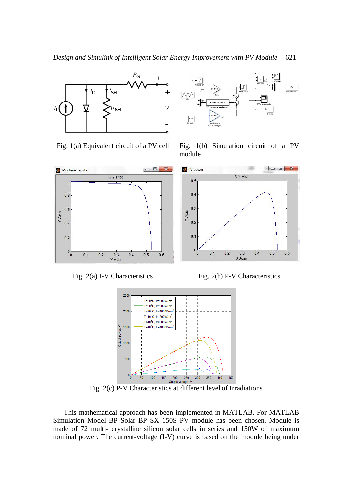

Fig. 2(c) P-V Characteristics at different level of Irradiations

This mathematical approach has been implemented in MATLAB. For MATLAB Simulation Model BP Solar BP SX 150S PV module has been chosen. Module is made of 72 multi- crystalline silicon solar cells in series and 150W of maximum nominal power. The current-voltage (I-V) curve is based on the module being under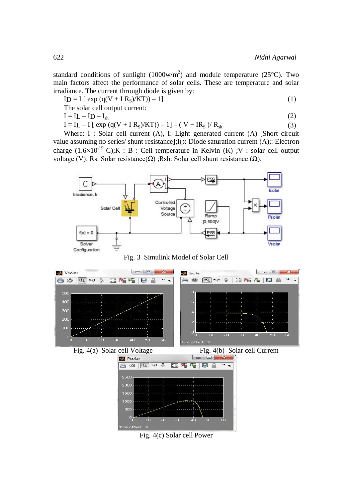standard conditions of sunlight  $(1000 \text{w/m}^2)$  and module temperature  $(25^{\circ} \text{C})$ . Two main factors affect the performance of solar cells. These are temperature and solar irradiance. The current through diode is given by:

$$
ID = I [ exp (q(V + IRS)/KT)) – 1]
$$
\n(1)

The solar cell output current:

$$
\mathbf{I} = \mathbf{I}\mathbf{L} - \mathbf{I}\mathbf{D} - \mathbf{I}
$$

$$
\frac{1}{\epsilon}
$$

 $I = IL - ID - I<sub>sh</sub>$  (2)  $I = IL - I [ exp (q(V + IR<sub>S</sub>)/KT)) – 1] – (V + IR<sub>S</sub>) / R<sub>sh</sub>$  (3)

Where: I : Solar cell current (A), I: Light generated current (A) [Short circuit value assuming no series/ shunt resistance];ID: Diode saturation current (A);: Electron charge  $(1.6\times10^{-19} \text{ C})$ ;K : B : Cell temperature in Kelvin (K) ;V : solar cell output voltage (V); Rs: Solar resistance( $Ω$ ) ;Rsh: Solar cell shunt resistance ( $Ω$ ).







Fig. 4(c) Solar cell Power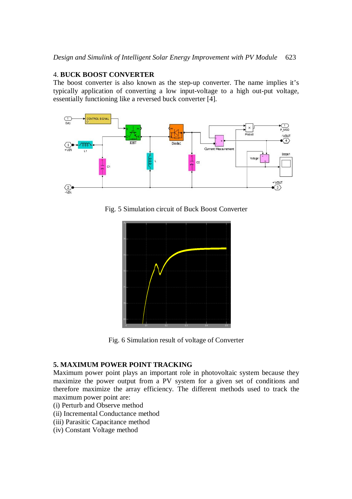# 4. **BUCK BOOST CONVERTER**

The boost converter is also known as the step-up converter. The name implies it's typically application of converting a low input-voltage to a high out-put voltage, essentially functioning like a reversed buck converter [4].



Fig. 5 Simulation circuit of Buck Boost Converter



Fig. 6 Simulation result of voltage of Converter

# **5. MAXIMUM POWER POINT TRACKING**

Maximum power point plays an important role in photovoltaic system because they maximize the power output from a PV system for a given set of conditions and therefore maximize the array efficiency. The different methods used to track the maximum power point are:

- (i) Perturb and Observe method
- (ii) Incremental Conductance method
- (iii) Parasitic Capacitance method
- (iv) Constant Voltage method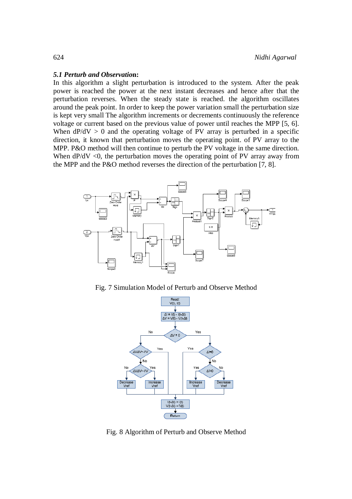#### *5.1 Perturb and Observatio***n:**

In this algorithm a slight perturbation is introduced to the system. After the peak power is reached the power at the next instant decreases and hence after that the perturbation reverses. When the steady state is reached. the algorithm oscillates around the peak point. In order to keep the power variation small the perturbation size is kept very small The algorithm increments or decrements continuously the reference voltage or current based on the previous value of power until reaches the MPP [5, 6]. When  $dP/dV > 0$  and the operating voltage of PV array is perturbed in a specific direction, it known that perturbation moves the operating point. of PV array to the MPP. P&O method will then continue to perturb the PV voltage in the same direction. When  $dP/dV < 0$ , the perturbation moves the operating point of PV array away from the MPP and the P&O method reverses the direction of the perturbation [7, 8].



Fig. 7 Simulation Model of Perturb and Observe Method



Fig. 8 Algorithm of Perturb and Observe Method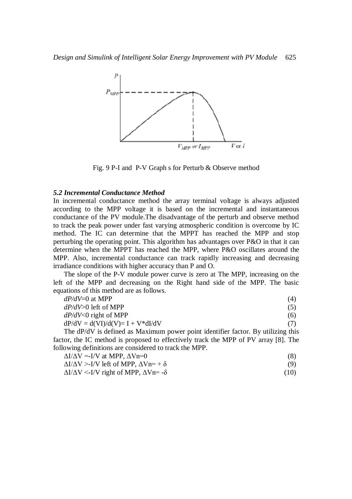

Fig. 9 P-I and P-V Graph s for Perturb & Observe method

### *5.2 Incremental Conductance Method*

In incremental conductance method the array terminal voltage is always adjusted according to the MPP voltage it is based on the incremental and instantaneous conductance of the PV module.The disadvantage of the perturb and observe method to track the peak power under fast varying atmospheric condition is overcome by IC method. The IC can determine that the MPPT has reached the MPP and stop perturbing the operating point. This algorithm has advantages over P&O in that it can determine when the MPPT has reached the MPP, where P&O oscillates around the MPP. Also, incremental conductance can track rapidly increasing and decreasing irradiance conditions with higher accuracy than P and O.

The slope of the P-V module power curve is zero at The MPP, increasing on the left of the MPP and decreasing on the Right hand side of the MPP. The basic equations of this method are as follows.

| $dP/dV=0$ at MPP                                                                 | (4) |
|----------------------------------------------------------------------------------|-----|
| $dP/dV > 0$ left of MPP                                                          | (5) |
| $dP/dV < 0$ right of MPP                                                         | (6) |
| $dP/dV = d(VI)/d(V) = I + V * dI/dV$                                             | (7) |
| The dP/dV is defined as Maximum power point identifier factor. By utilizing this |     |

factor, the IC method is proposed to effectively track the MPP of PV array [8]. The following definitions are considered to track the MPP.

| $\Delta I/\Delta V = -I/V$ at MPP, $\Delta Vn=0$<br>$\Delta I/\Delta V > I/V$ left of MPP, $\Delta Vn = +\delta$<br>$\Delta I/\Delta V$ <-I/V right of MPP, $\Delta V$ n= - $\delta$ | (8)  |
|--------------------------------------------------------------------------------------------------------------------------------------------------------------------------------------|------|
|                                                                                                                                                                                      | (9)  |
|                                                                                                                                                                                      | (10) |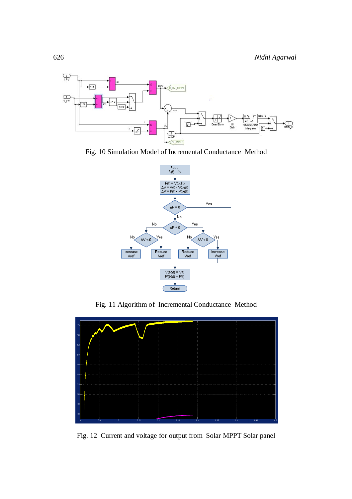

Fig. 10 Simulation Model of Incremental Conductance Method



Fig. 11 Algorithm of Incremental Conductance Method



Fig. 12 Current and voltage for output from Solar MPPT Solar panel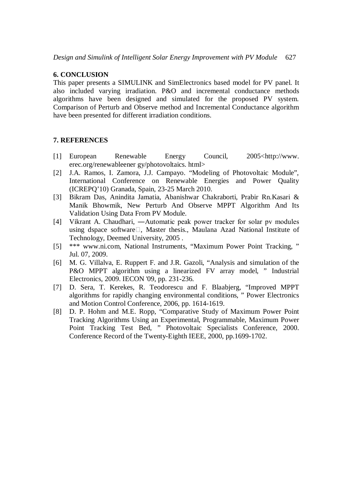## **6. CONCLUSION**

This paper presents a SIMULINK and SimElectronics based model for PV panel. It also included varying irradiation. P&O and incremental conductance methods algorithms have been designed and simulated for the proposed PV system. Comparison of Perturb and Observe method and Incremental Conductance algorithm have been presented for different irradiation conditions.

# **7. REFERENCES**

- [1] European Renewable Energy Council, 2005<http://www. erec.org/renewableener gy/photovoltaics. html>
- [2] J.A. Ramos, I. Zamora, J.J. Campayo. "Modeling of Photovoltaic Module", International Conference on Renewable Energies and Power Quality (ICREPQ'10) Granada, Spain, 23-25 March 2010.
- [3] Bikram Das, Anindita Jamatia, Abanishwar Chakraborti, Prabir Rn.Kasari & Manik Bhowmik, New Perturb And Observe MPPT Algorithm And Its Validation Using Data From PV Module.
- [4] Vikrant A. Chaudhari, ―Automatic peak power tracker for solar pv modules using dspace software $\Box$ , Master thesis., Maulana Azad National Institute of Technology, Deemed University, 2005 .
- [5] \*\*\* www.ni.com, National Instruments, "Maximum Power Point Tracking, " Jul. 07, 2009.
- [6] M. G. Villalva, E. Ruppert F. and J.R. Gazoli, "Analysis and simulation of the P&O MPPT algorithm using a linearized FV array model, " Industrial Electronics, 2009. IECON '09, pp. 231-236.
- [7] D. Sera, T. Kerekes, R. Teodorescu and F. Blaabjerg, "Improved MPPT algorithms for rapidly changing environmental conditions, " Power Electronics and Motion Control Conference, 2006, pp. 1614-1619.
- [8] D. P. Hohm and M.E. Ropp, "Comparative Study of Maximum Power Point Tracking Algorithms Using an Experimental, Programmable, Maximum Power Point Tracking Test Bed, " Photovoltaic Specialists Conference, 2000. Conference Record of the Twenty-Eighth IEEE, 2000, pp.1699-1702.